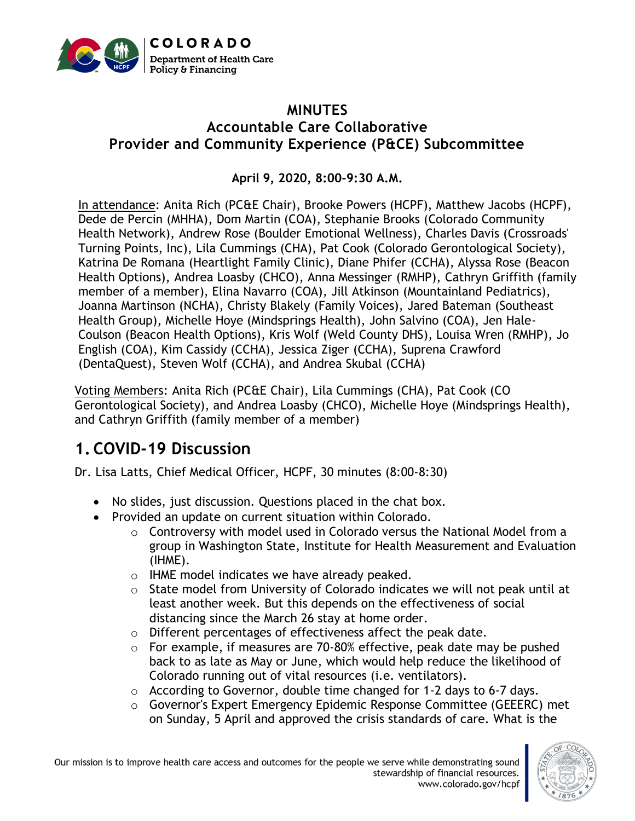

#### **MINUTES Accountable Care Collaborative Provider and Community Experience (P&CE) Subcommittee**

**April 9, 2020, 8:00-9:30 A.M.**

In attendance: Anita Rich (PC&E Chair), Brooke Powers (HCPF), Matthew Jacobs (HCPF), Dede de Percin (MHHA), Dom Martin (COA), Stephanie Brooks (Colorado Community Health Network), Andrew Rose (Boulder Emotional Wellness), Charles Davis (Crossroads' Turning Points, Inc), Lila Cummings (CHA), Pat Cook (Colorado Gerontological Society), Katrina De Romana (Heartlight Family Clinic), Diane Phifer (CCHA), Alyssa Rose (Beacon Health Options), Andrea Loasby (CHCO), Anna Messinger (RMHP), Cathryn Griffith (family member of a member), Elina Navarro (COA), Jill Atkinson (Mountainland Pediatrics), Joanna Martinson (NCHA), Christy Blakely (Family Voices), Jared Bateman (Southeast Health Group), Michelle Hoye (Mindsprings Health), John Salvino (COA), Jen Hale-Coulson (Beacon Health Options), Kris Wolf (Weld County DHS), Louisa Wren (RMHP), Jo English (COA), Kim Cassidy (CCHA), Jessica Ziger (CCHA), Suprena Crawford (DentaQuest), Steven Wolf (CCHA), and Andrea Skubal (CCHA)

Voting Members: Anita Rich (PC&E Chair), Lila Cummings (CHA), Pat Cook (CO Gerontological Society), and Andrea Loasby (CHCO), Michelle Hoye (Mindsprings Health), and Cathryn Griffith (family member of a member)

# **1. COVID-19 Discussion**

Dr. Lisa Latts, Chief Medical Officer, HCPF, 30 minutes (8:00-8:30)

- No slides, just discussion. Questions placed in the chat box.
- Provided an update on current situation within Colorado.
	- $\circ$  Controversy with model used in Colorado versus the National Model from a group in Washington State, Institute for Health Measurement and Evaluation (IHME).
	- o IHME model indicates we have already peaked.
	- $\circ$  State model from University of Colorado indicates we will not peak until at least another week. But this depends on the effectiveness of social distancing since the March 26 stay at home order.
	- o Different percentages of effectiveness affect the peak date.
	- $\circ$  For example, if measures are 70-80% effective, peak date may be pushed back to as late as May or June, which would help reduce the likelihood of Colorado running out of vital resources (i.e. ventilators).
	- $\circ$  According to Governor, double time changed for 1-2 days to 6-7 days.
	- $\circ$  Governor's Expert Emergency Epidemic Response Committee (GEEERC) met on Sunday, 5 April and approved the crisis standards of care. What is the

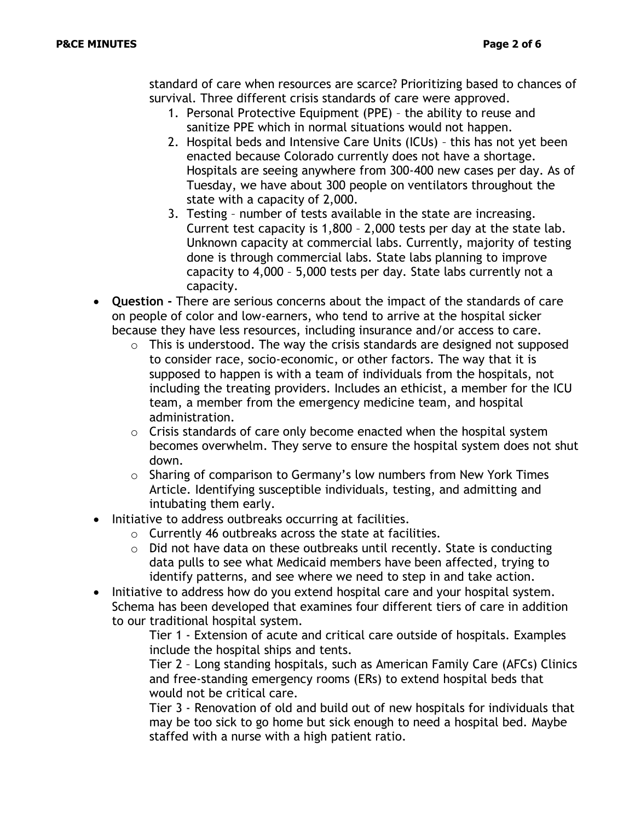standard of care when resources are scarce? Prioritizing based to chances of survival. Three different crisis standards of care were approved.

- 1. Personal Protective Equipment (PPE) the ability to reuse and sanitize PPE which in normal situations would not happen.
- 2. Hospital beds and Intensive Care Units (ICUs) this has not yet been enacted because Colorado currently does not have a shortage. Hospitals are seeing anywhere from 300-400 new cases per day. As of Tuesday, we have about 300 people on ventilators throughout the state with a capacity of 2,000.
- 3. Testing number of tests available in the state are increasing. Current test capacity is 1,800 – 2,000 tests per day at the state lab. Unknown capacity at commercial labs. Currently, majority of testing done is through commercial labs. State labs planning to improve capacity to 4,000 – 5,000 tests per day. State labs currently not a capacity.
- **Question -** There are serious concerns about the impact of the standards of care on people of color and low-earners, who tend to arrive at the hospital sicker because they have less resources, including insurance and/or access to care.
	- $\circ$  This is understood. The way the crisis standards are designed not supposed to consider race, socio-economic, or other factors. The way that it is supposed to happen is with a team of individuals from the hospitals, not including the treating providers. Includes an ethicist, a member for the ICU team, a member from the emergency medicine team, and hospital administration.
	- $\circ$  Crisis standards of care only become enacted when the hospital system becomes overwhelm. They serve to ensure the hospital system does not shut down.
	- o Sharing of comparison to Germany's low numbers from New York Times Article. Identifying susceptible individuals, testing, and admitting and intubating them early.
- Initiative to address outbreaks occurring at facilities.
	- o Currently 46 outbreaks across the state at facilities.
	- o Did not have data on these outbreaks until recently. State is conducting data pulls to see what Medicaid members have been affected, trying to identify patterns, and see where we need to step in and take action.
- Initiative to address how do you extend hospital care and your hospital system. Schema has been developed that examines four different tiers of care in addition to our traditional hospital system.

Tier 1 - Extension of acute and critical care outside of hospitals. Examples include the hospital ships and tents.

Tier 2 – Long standing hospitals, such as American Family Care (AFCs) Clinics and free-standing emergency rooms (ERs) to extend hospital beds that would not be critical care.

Tier 3 - Renovation of old and build out of new hospitals for individuals that may be too sick to go home but sick enough to need a hospital bed. Maybe staffed with a nurse with a high patient ratio.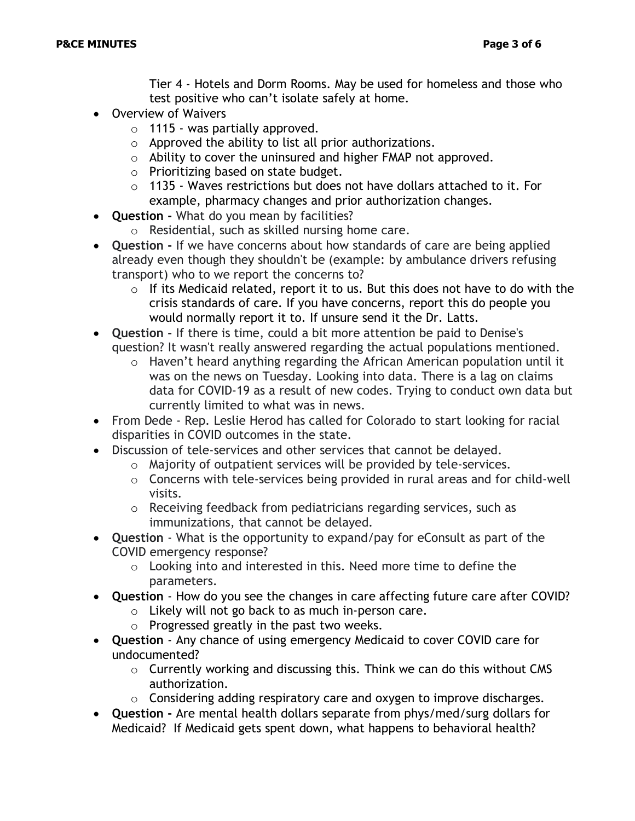Tier 4 - Hotels and Dorm Rooms. May be used for homeless and those who test positive who can't isolate safely at home.

- Overview of Waivers
	- $\circ$  1115 was partially approved.
	- $\circ$  Approved the ability to list all prior authorizations.
	- o Ability to cover the uninsured and higher FMAP not approved.
	- o Prioritizing based on state budget.
	- o 1135 Waves restrictions but does not have dollars attached to it. For example, pharmacy changes and prior authorization changes.
- **Question -** What do you mean by facilities?
	- o Residential, such as skilled nursing home care.
- **Question -** If we have concerns about how standards of care are being applied already even though they shouldn't be (example: by ambulance drivers refusing transport) who to we report the concerns to?
	- $\circ$  If its Medicaid related, report it to us. But this does not have to do with the crisis standards of care. If you have concerns, report this do people you would normally report it to. If unsure send it the Dr. Latts.
- **Question -** If there is time, could a bit more attention be paid to Denise's question? It wasn't really answered regarding the actual populations mentioned.
	- o Haven't heard anything regarding the African American population until it was on the news on Tuesday. Looking into data. There is a lag on claims data for COVID-19 as a result of new codes. Trying to conduct own data but currently limited to what was in news.
- From Dede Rep. Leslie Herod has called for Colorado to start looking for racial disparities in COVID outcomes in the state.
- Discussion of tele-services and other services that cannot be delayed.
	- o Majority of outpatient services will be provided by tele-services.
	- o Concerns with tele-services being provided in rural areas and for child-well visits.
	- o Receiving feedback from pediatricians regarding services, such as immunizations, that cannot be delayed.
- **Question** What is the opportunity to expand/pay for eConsult as part of the COVID emergency response?
	- o Looking into and interested in this. Need more time to define the parameters.
- **Question** How do you see the changes in care affecting future care after COVID?
	- o Likely will not go back to as much in-person care.
		- o Progressed greatly in the past two weeks.
- **Question**  Any chance of using emergency Medicaid to cover COVID care for undocumented?
	- o Currently working and discussing this. Think we can do this without CMS authorization.
	- $\circ$  Considering adding respiratory care and oxygen to improve discharges.
- **Question -** Are mental health dollars separate from phys/med/surg dollars for Medicaid? If Medicaid gets spent down, what happens to behavioral health?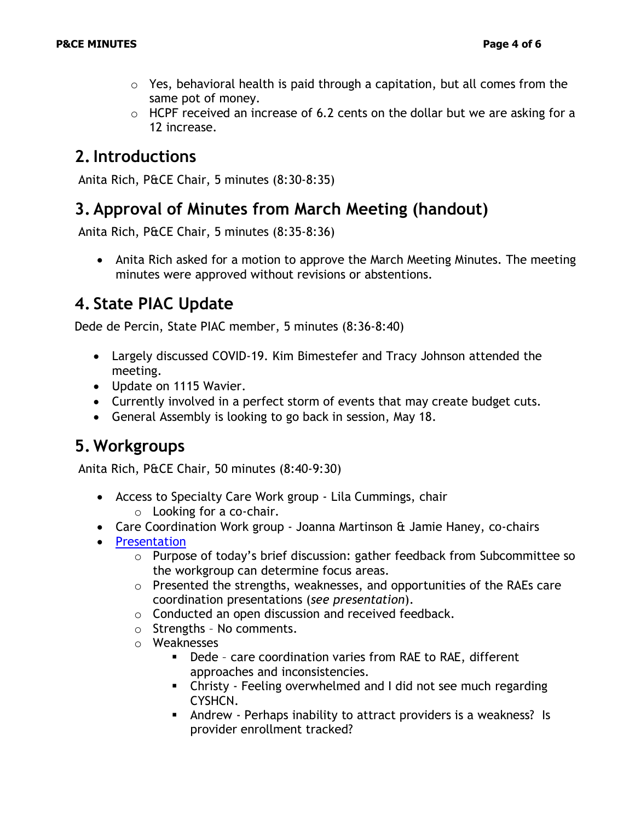- $\circ$  Yes, behavioral health is paid through a capitation, but all comes from the same pot of money.
- $\circ$  HCPF received an increase of 6.2 cents on the dollar but we are asking for a 12 increase.

## **2.Introductions**

Anita Rich, P&CE Chair, 5 minutes (8:30-8:35)

### **3. Approval of Minutes from March Meeting (handout)**

Anita Rich, P&CE Chair, 5 minutes (8:35-8:36)

• Anita Rich asked for a motion to approve the March Meeting Minutes. The meeting minutes were approved without revisions or abstentions.

# **4. State PIAC Update**

Dede de Percin, State PIAC member, 5 minutes (8:36-8:40)

- Largely discussed COVID-19. Kim Bimestefer and Tracy Johnson attended the meeting.
- Update on 1115 Wavier.
- Currently involved in a perfect storm of events that may create budget cuts.
- General Assembly is looking to go back in session, May 18.

## **5. Workgroups**

Anita Rich, P&CE Chair, 50 minutes (8:40-9:30)

- Access to Specialty Care Work group Lila Cummings, chair o Looking for a co-chair.
- Care Coordination Work group Joanna Martinson & Jamie Haney, co-chairs
- [Presentation](https://www.colorado.gov/pacific/sites/default/files/Provider%20and%20Community%20Experience%20PIAC%20Subcommittee%20Care%20Coordination%20Workgroup%20Power%20Point%20April%202020.pdf)
	- o Purpose of today's brief discussion: gather feedback from Subcommittee so the workgroup can determine focus areas.
	- o Presented the strengths, weaknesses, and opportunities of the RAEs care coordination presentations (*see presentation*).
	- o Conducted an open discussion and received feedback.
	- o Strengths No comments.
	- o Weaknesses
		- Dede care coordination varies from RAE to RAE, different approaches and inconsistencies.
		- **EXECUTE:** Christy Feeling overwhelmed and I did not see much regarding CYSHCN.
		- Andrew Perhaps inability to attract providers is a weakness? Is provider enrollment tracked?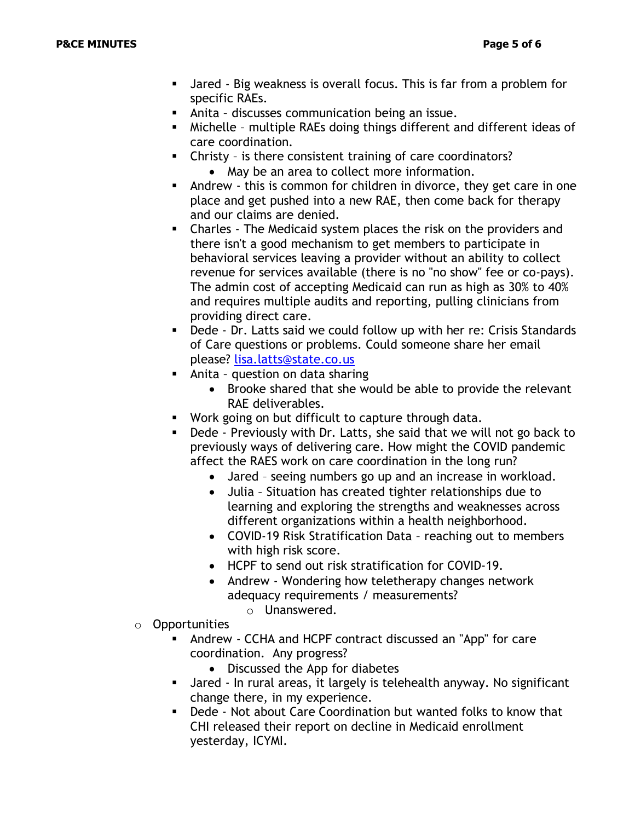- Jared Big weakness is overall focus. This is far from a problem for specific RAEs.
- Anita discusses communication being an issue.
- Michelle multiple RAEs doing things different and different ideas of care coordination.
- Christy is there consistent training of care coordinators? • May be an area to collect more information.
- Andrew this is common for children in divorce, they get care in one place and get pushed into a new RAE, then come back for therapy and our claims are denied.
- Charles The Medicaid system places the risk on the providers and there isn't a good mechanism to get members to participate in behavioral services leaving a provider without an ability to collect revenue for services available (there is no "no show" fee or co-pays). The admin cost of accepting Medicaid can run as high as 30% to 40% and requires multiple audits and reporting, pulling clinicians from providing direct care.
- Dede Dr. Latts said we could follow up with her re: Crisis Standards of Care questions or problems. Could someone share her email please? [lisa.latts@state.co.us](mailto:lisa.latts@state.co.us)
- Anita question on data sharing
	- Brooke shared that she would be able to provide the relevant RAE deliverables.
- Work going on but difficult to capture through data.
- Dede Previously with Dr. Latts, she said that we will not go back to previously ways of delivering care. How might the COVID pandemic affect the RAES work on care coordination in the long run?
	- Jared seeing numbers go up and an increase in workload.
	- Julia Situation has created tighter relationships due to learning and exploring the strengths and weaknesses across different organizations within a health neighborhood.
	- COVID-19 Risk Stratification Data reaching out to members with high risk score.
	- HCPF to send out risk stratification for COVID-19.
	- Andrew Wondering how teletherapy changes network adequacy requirements / measurements?
		- o Unanswered.
- o Opportunities
	- Andrew CCHA and HCPF contract discussed an "App" for care coordination. Any progress?
		- Discussed the App for diabetes
	- Jared In rural areas, it largely is telehealth anyway. No significant change there, in my experience.
	- Dede Not about Care Coordination but wanted folks to know that CHI released their report on decline in Medicaid enrollment yesterday, ICYMI.